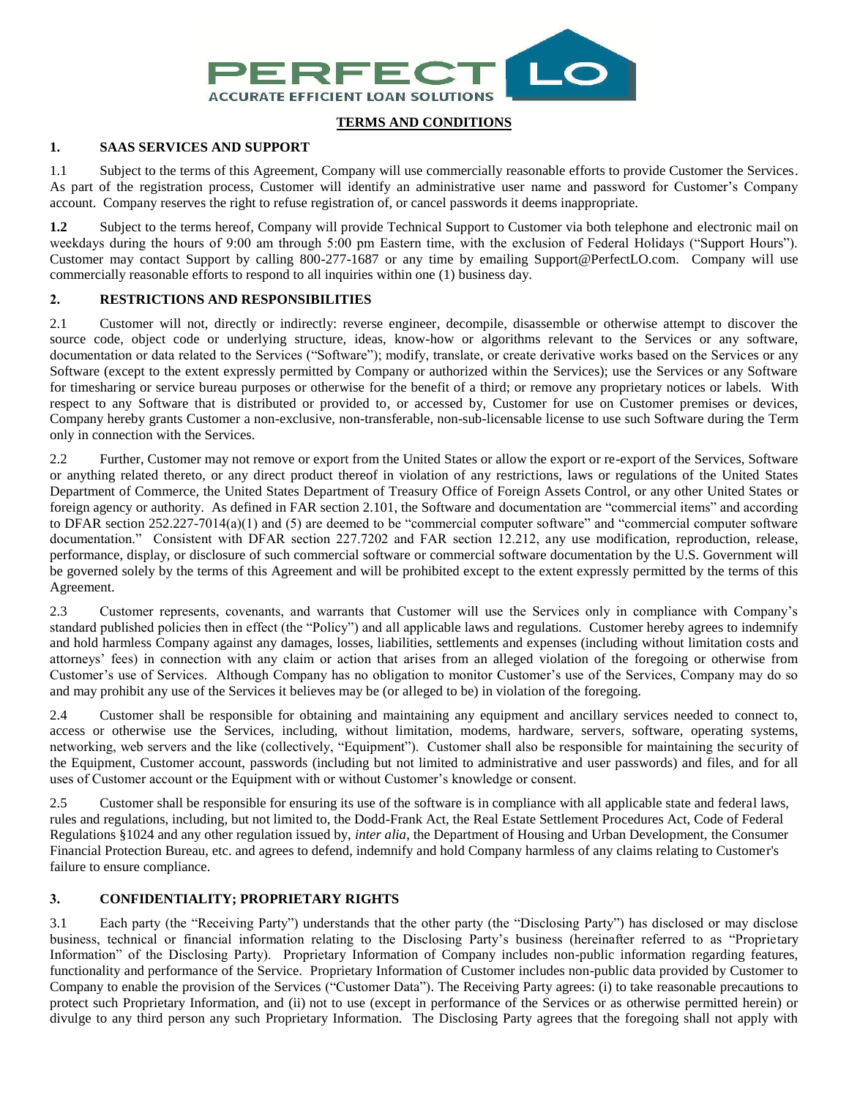

# **TERMS AND CONDITIONS**

# **1. SAAS SERVICES AND SUPPORT**

1.1 Subject to the terms of this Agreement, Company will use commercially reasonable efforts to provide Customer the Services. As part of the registration process, Customer will identify an administrative user name and password for Customer's Company account. Company reserves the right to refuse registration of, or cancel passwords it deems inappropriate.

**1.2** Subject to the terms hereof, Company will provide Technical Support to Customer via both telephone and electronic mail on weekdays during the hours of 9:00 am through 5:00 pm Eastern time, with the exclusion of Federal Holidays ("Support Hours"). Customer may contact Support by calling 800-277-1687 or any time by emailing Support@PerfectLO.com. Company will use commercially reasonable efforts to respond to all inquiries within one (1) business day.

# **2. RESTRICTIONS AND RESPONSIBILITIES**

2.1 Customer will not, directly or indirectly: reverse engineer, decompile, disassemble or otherwise attempt to discover the source code, object code or underlying structure, ideas, know-how or algorithms relevant to the Services or any software, documentation or data related to the Services ("Software"); modify, translate, or create derivative works based on the Services or any Software (except to the extent expressly permitted by Company or authorized within the Services); use the Services or any Software for timesharing or service bureau purposes or otherwise for the benefit of a third; or remove any proprietary notices or labels. With respect to any Software that is distributed or provided to, or accessed by, Customer for use on Customer premises or devices, Company hereby grants Customer a non-exclusive, non-transferable, non-sub-licensable license to use such Software during the Term only in connection with the Services.

2.2 Further, Customer may not remove or export from the United States or allow the export or re-export of the Services, Software or anything related thereto, or any direct product thereof in violation of any restrictions, laws or regulations of the United States Department of Commerce, the United States Department of Treasury Office of Foreign Assets Control, or any other United States or foreign agency or authority. As defined in FAR section 2.101, the Software and documentation are "commercial items" and according to DFAR section 252.227-7014(a)(1) and (5) are deemed to be "commercial computer software" and "commercial computer software documentation." Consistent with DFAR section 227.7202 and FAR section 12.212, any use modification, reproduction, release, performance, display, or disclosure of such commercial software or commercial software documentation by the U.S. Government will be governed solely by the terms of this Agreement and will be prohibited except to the extent expressly permitted by the terms of this Agreement.

2.3 Customer represents, covenants, and warrants that Customer will use the Services only in compliance with Company's standard published policies then in effect (the "Policy") and all applicable laws and regulations. Customer hereby agrees to indemnify and hold harmless Company against any damages, losses, liabilities, settlements and expenses (including without limitation costs and attorneys' fees) in connection with any claim or action that arises from an alleged violation of the foregoing or otherwise from Customer's use of Services. Although Company has no obligation to monitor Customer's use of the Services, Company may do so and may prohibit any use of the Services it believes may be (or alleged to be) in violation of the foregoing.

2.4 Customer shall be responsible for obtaining and maintaining any equipment and ancillary services needed to connect to, access or otherwise use the Services, including, without limitation, modems, hardware, servers, software, operating systems, networking, web servers and the like (collectively, "Equipment"). Customer shall also be responsible for maintaining the security of the Equipment, Customer account, passwords (including but not limited to administrative and user passwords) and files, and for all uses of Customer account or the Equipment with or without Customer's knowledge or consent.

2.5 Customer shall be responsible for ensuring its use of the software is in compliance with all applicable state and federal laws, rules and regulations, including, but not limited to, the Dodd-Frank Act, the Real Estate Settlement Procedures Act, Code of Federal Regulations §1024 and any other regulation issued by, *inter alia*, the Department of Housing and Urban Development, the Consumer Financial Protection Bureau, etc. and agrees to defend, indemnify and hold Company harmless of any claims relating to Customer's failure to ensure compliance.

### **3. CONFIDENTIALITY; PROPRIETARY RIGHTS**

3.1 Each party (the "Receiving Party") understands that the other party (the "Disclosing Party") has disclosed or may disclose business, technical or financial information relating to the Disclosing Party's business (hereinafter referred to as "Proprietary Information" of the Disclosing Party). Proprietary Information of Company includes non-public information regarding features, functionality and performance of the Service. Proprietary Information of Customer includes non-public data provided by Customer to Company to enable the provision of the Services ("Customer Data"). The Receiving Party agrees: (i) to take reasonable precautions to protect such Proprietary Information, and (ii) not to use (except in performance of the Services or as otherwise permitted herein) or divulge to any third person any such Proprietary Information. The Disclosing Party agrees that the foregoing shall not apply with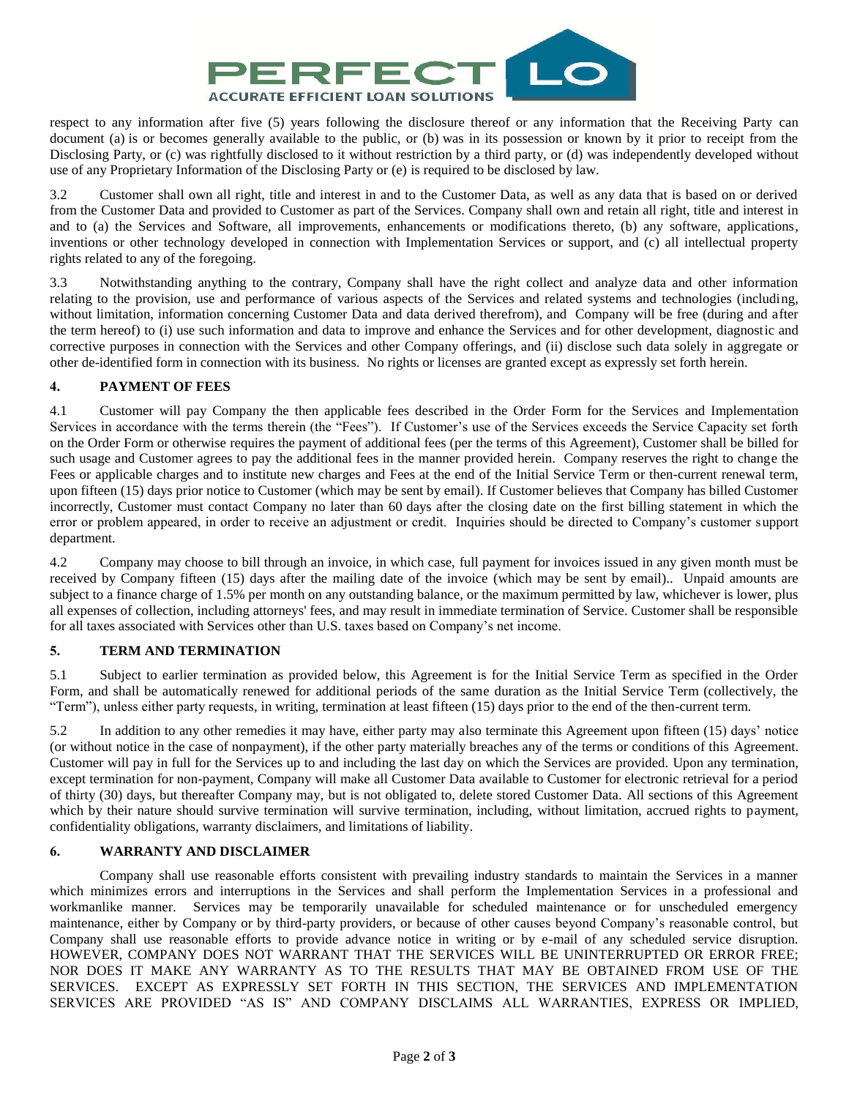

respect to any information after five (5) years following the disclosure thereof or any information that the Receiving Party can document (a) is or becomes generally available to the public, or (b) was in its possession or known by it prior to receipt from the Disclosing Party, or (c) was rightfully disclosed to it without restriction by a third party, or (d) was independently developed without use of any Proprietary Information of the Disclosing Party or (e) is required to be disclosed by law.

3.2 Customer shall own all right, title and interest in and to the Customer Data, as well as any data that is based on or derived from the Customer Data and provided to Customer as part of the Services. Company shall own and retain all right, title and interest in and to (a) the Services and Software, all improvements, enhancements or modifications thereto, (b) any software, applications, inventions or other technology developed in connection with Implementation Services or support, and (c) all intellectual property rights related to any of the foregoing.

3.3 Notwithstanding anything to the contrary, Company shall have the right collect and analyze data and other information relating to the provision, use and performance of various aspects of the Services and related systems and technologies (including, without limitation, information concerning Customer Data and data derived therefrom), and Company will be free (during and after the term hereof) to (i) use such information and data to improve and enhance the Services and for other development, diagnostic and corrective purposes in connection with the Services and other Company offerings, and (ii) disclose such data solely in aggregate or other de-identified form in connection with its business. No rights or licenses are granted except as expressly set forth herein.

# **4. PAYMENT OF FEES**

4.1 Customer will pay Company the then applicable fees described in the Order Form for the Services and Implementation Services in accordance with the terms therein (the "Fees"). If Customer's use of the Services exceeds the Service Capacity set forth on the Order Form or otherwise requires the payment of additional fees (per the terms of this Agreement), Customer shall be billed for such usage and Customer agrees to pay the additional fees in the manner provided herein. Company reserves the right to change the Fees or applicable charges and to institute new charges and Fees at the end of the Initial Service Term or then-current renewal term, upon fifteen (15) days prior notice to Customer (which may be sent by email). If Customer believes that Company has billed Customer incorrectly, Customer must contact Company no later than 60 days after the closing date on the first billing statement in which the error or problem appeared, in order to receive an adjustment or credit. Inquiries should be directed to Company's customer support department.

4.2 Company may choose to bill through an invoice, in which case, full payment for invoices issued in any given month must be received by Company fifteen (15) days after the mailing date of the invoice (which may be sent by email).. Unpaid amounts are subject to a finance charge of 1.5% per month on any outstanding balance, or the maximum permitted by law, whichever is lower, plus all expenses of collection, including attorneys' fees, and may result in immediate termination of Service. Customer shall be responsible for all taxes associated with Services other than U.S. taxes based on Company's net income.

# **5. TERM AND TERMINATION**

5.1 Subject to earlier termination as provided below, this Agreement is for the Initial Service Term as specified in the Order Form, and shall be automatically renewed for additional periods of the same duration as the Initial Service Term (collectively, the "Term"), unless either party requests, in writing, termination at least fifteen (15) days prior to the end of the then-current term.

5.2 In addition to any other remedies it may have, either party may also terminate this Agreement upon fifteen (15) days' notice (or without notice in the case of nonpayment), if the other party materially breaches any of the terms or conditions of this Agreement. Customer will pay in full for the Services up to and including the last day on which the Services are provided. Upon any termination, except termination for non-payment, Company will make all Customer Data available to Customer for electronic retrieval for a period of thirty (30) days, but thereafter Company may, but is not obligated to, delete stored Customer Data. All sections of this Agreement which by their nature should survive termination will survive termination, including, without limitation, accrued rights to payment, confidentiality obligations, warranty disclaimers, and limitations of liability.

### **6. WARRANTY AND DISCLAIMER**

Company shall use reasonable efforts consistent with prevailing industry standards to maintain the Services in a manner which minimizes errors and interruptions in the Services and shall perform the Implementation Services in a professional and workmanlike manner. Services may be temporarily unavailable for scheduled maintenance or for unscheduled emergency maintenance, either by Company or by third-party providers, or because of other causes beyond Company's reasonable control, but Company shall use reasonable efforts to provide advance notice in writing or by e-mail of any scheduled service disruption. HOWEVER, COMPANY DOES NOT WARRANT THAT THE SERVICES WILL BE UNINTERRUPTED OR ERROR FREE; NOR DOES IT MAKE ANY WARRANTY AS TO THE RESULTS THAT MAY BE OBTAINED FROM USE OF THE SERVICES.EXCEPT AS EXPRESSLY SET FORTH IN THIS SECTION, THE SERVICES AND IMPLEMENTATION SERVICES ARE PROVIDED "AS IS" AND COMPANY DISCLAIMS ALL WARRANTIES, EXPRESS OR IMPLIED,